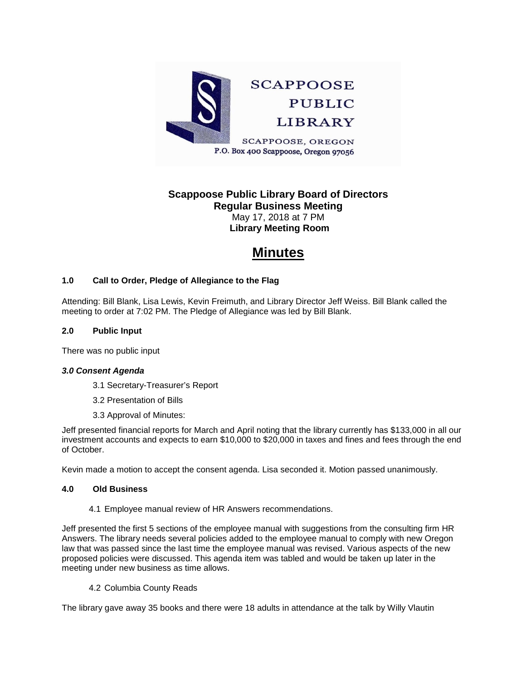

# **Scappoose Public Library Board of Directors Regular Business Meeting** May 17, 2018 at 7 PM

**Library Meeting Room**

# **Minutes**

### **1.0 Call to Order, Pledge of Allegiance to the Flag**

Attending: Bill Blank, Lisa Lewis, Kevin Freimuth, and Library Director Jeff Weiss. Bill Blank called the meeting to order at 7:02 PM. The Pledge of Allegiance was led by Bill Blank.

#### **2.0 Public Input**

There was no public input

#### *3.0 Consent Agenda*

- 3.1 Secretary-Treasurer's Report
- 3.2 Presentation of Bills
- 3.3 Approval of Minutes:

Jeff presented financial reports for March and April noting that the library currently has \$133,000 in all our investment accounts and expects to earn \$10,000 to \$20,000 in taxes and fines and fees through the end of October.

Kevin made a motion to accept the consent agenda. Lisa seconded it. Motion passed unanimously.

#### **4.0 Old Business**

4.1 Employee manual review of HR Answers recommendations.

Jeff presented the first 5 sections of the employee manual with suggestions from the consulting firm HR Answers. The library needs several policies added to the employee manual to comply with new Oregon law that was passed since the last time the employee manual was revised. Various aspects of the new proposed policies were discussed. This agenda item was tabled and would be taken up later in the meeting under new business as time allows.

4.2 Columbia County Reads

The library gave away 35 books and there were 18 adults in attendance at the talk by Willy Vlautin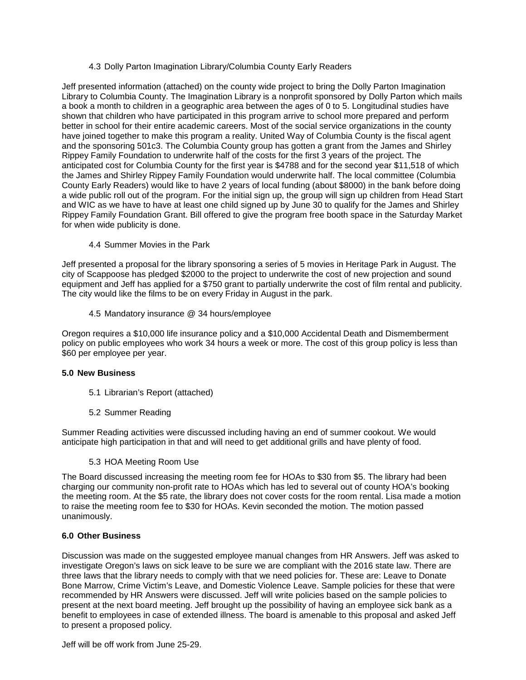#### 4.3 Dolly Parton Imagination Library/Columbia County Early Readers

Jeff presented information (attached) on the county wide project to bring the Dolly Parton Imagination Library to Columbia County. The Imagination Library is a nonprofit sponsored by Dolly Parton which mails a book a month to children in a geographic area between the ages of 0 to 5. Longitudinal studies have shown that children who have participated in this program arrive to school more prepared and perform better in school for their entire academic careers. Most of the social service organizations in the county have joined together to make this program a reality. United Way of Columbia County is the fiscal agent and the sponsoring 501c3. The Columbia County group has gotten a grant from the James and Shirley Rippey Family Foundation to underwrite half of the costs for the first 3 years of the project. The anticipated cost for Columbia County for the first year is \$4788 and for the second year \$11,518 of which the James and Shirley Rippey Family Foundation would underwrite half. The local committee (Columbia County Early Readers) would like to have 2 years of local funding (about \$8000) in the bank before doing a wide public roll out of the program. For the initial sign up, the group will sign up children from Head Start and WIC as we have to have at least one child signed up by June 30 to qualify for the James and Shirley Rippey Family Foundation Grant. Bill offered to give the program free booth space in the Saturday Market for when wide publicity is done.

4.4 Summer Movies in the Park

Jeff presented a proposal for the library sponsoring a series of 5 movies in Heritage Park in August. The city of Scappoose has pledged \$2000 to the project to underwrite the cost of new projection and sound equipment and Jeff has applied for a \$750 grant to partially underwrite the cost of film rental and publicity. The city would like the films to be on every Friday in August in the park.

4.5 Mandatory insurance @ 34 hours/employee

Oregon requires a \$10,000 life insurance policy and a \$10,000 Accidental Death and Dismemberment policy on public employees who work 34 hours a week or more. The cost of this group policy is less than \$60 per employee per year.

#### **5.0 New Business**

- 5.1 Librarian's Report (attached)
- 5.2 Summer Reading

Summer Reading activities were discussed including having an end of summer cookout. We would anticipate high participation in that and will need to get additional grills and have plenty of food.

5.3 HOA Meeting Room Use

The Board discussed increasing the meeting room fee for HOAs to \$30 from \$5. The library had been charging our community non-profit rate to HOAs which has led to several out of county HOA's booking the meeting room. At the \$5 rate, the library does not cover costs for the room rental. Lisa made a motion to raise the meeting room fee to \$30 for HOAs. Kevin seconded the motion. The motion passed unanimously.

#### **6.0 Other Business**

Discussion was made on the suggested employee manual changes from HR Answers. Jeff was asked to investigate Oregon's laws on sick leave to be sure we are compliant with the 2016 state law. There are three laws that the library needs to comply with that we need policies for. These are: Leave to Donate Bone Marrow, Crime Victim's Leave, and Domestic Violence Leave. Sample policies for these that were recommended by HR Answers were discussed. Jeff will write policies based on the sample policies to present at the next board meeting. Jeff brought up the possibility of having an employee sick bank as a benefit to employees in case of extended illness. The board is amenable to this proposal and asked Jeff to present a proposed policy.

Jeff will be off work from June 25-29.